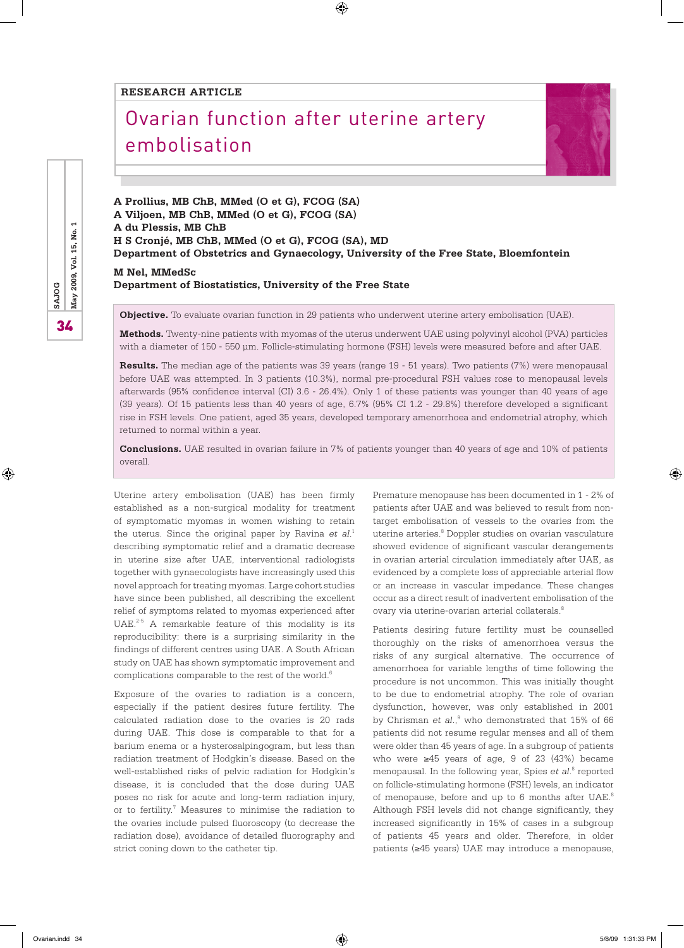#### **RESEARCH ARTICLE**

# Ovarian function after uterine artery embolisation



**A Prollius, MB ChB, MMed (O et G), FCOG (SA) A Viljoen, MB ChB, MMed (O et G), FCOG (SA) A du Plessis, MB ChB H S Cronjé, MB ChB, MMed (O et G), FCOG (SA), MD Department of Obstetrics and Gynaecology, University of the Free State, Bloemfontein M Nel, MMedSc**

 $\bigoplus$ 

#### **Department of Biostatistics, University of the Free State**

**Objective.** To evaluate ovarian function in 29 patients who underwent uterine artery embolisation (UAE).

**Methods.** Twenty-nine patients with myomas of the uterus underwent UAE using polyvinyl alcohol (PVA) particles with a diameter of 150 - 550 µm. Follicle-stimulating hormone (FSH) levels were measured before and after UAE.

**Results.** The median age of the patients was 39 years (range 19 - 51 years). Two patients (7%) were menopausal before UAE was attempted. In 3 patients (10.3%), normal pre-procedural FSH values rose to menopausal levels afterwards (95% confidence interval (CI) 3.6 - 26.4%). Only 1 of these patients was younger than 40 years of age (39 years). Of 15 patients less than 40 years of age, 6.7% (95% CI 1.2 - 29.8%) therefore developed a significant rise in FSH levels. One patient, aged 35 years, developed temporary amenorrhoea and endometrial atrophy, which returned to normal within a year.

**Conclusions.** UAE resulted in ovarian failure in 7% of patients younger than 40 years of age and 10% of patients overall.

Uterine artery embolisation (UAE) has been firmly established as a non-surgical modality for treatment of symptomatic myomas in women wishing to retain the uterus. Since the original paper by Ravina *et al*. 1 describing symptomatic relief and a dramatic decrease in uterine size after UAE, interventional radiologists together with gynaecologists have increasingly used this novel approach for treating myomas. Large cohort studies have since been published, all describing the excellent relief of symptoms related to myomas experienced after UAE. $2-5$  A remarkable feature of this modality is its reproducibility: there is a surprising similarity in the findings of different centres using UAE. A South African study on UAE has shown symptomatic improvement and complications comparable to the rest of the world.<sup>6</sup>

Exposure of the ovaries to radiation is a concern, especially if the patient desires future fertility. The calculated radiation dose to the ovaries is 20 rads during UAE. This dose is comparable to that for a barium enema or a hysterosalpingogram, but less than radiation treatment of Hodgkin's disease. Based on the well-established risks of pelvic radiation for Hodgkin's disease, it is concluded that the dose during UAE poses no risk for acute and long-term radiation injury, or to fertility.<sup>7</sup> Measures to minimise the radiation to the ovaries include pulsed fluoroscopy (to decrease the radiation dose), avoidance of detailed fluorography and strict coning down to the catheter tip.

Premature menopause has been documented in 1 - 2% of patients after UAE and was believed to result from nontarget embolisation of vessels to the ovaries from the uterine arteries.<sup>8</sup> Doppler studies on ovarian vasculature showed evidence of significant vascular derangements in ovarian arterial circulation immediately after UAE, as evidenced by a complete loss of appreciable arterial flow or an increase in vascular impedance. These changes occur as a direct result of inadvertent embolisation of the ovary via uterine-ovarian arterial collaterals.<sup>8</sup>

Patients desiring future fertility must be counselled thoroughly on the risks of amenorrhoea versus the risks of any surgical alternative. The occurrence of amenorrhoea for variable lengths of time following the procedure is not uncommon. This was initially thought to be due to endometrial atrophy. The role of ovarian dysfunction, however, was only established in 2001 by Chrisman *et al.*,<sup>9</sup> who demonstrated that 15% of 66 patients did not resume regular menses and all of them were older than 45 years of age. In a subgroup of patients who were ≥45 years of age, 9 of 23 (43%) became menopausal. In the following year, Spies et al.<sup>8</sup> reported on follicle-stimulating hormone (FSH) levels, an indicator of menopause, before and up to 6 months after UAE.<sup>8</sup> Although FSH levels did not change significantly, they increased significantly in 15% of cases in a subgroup of patients 45 years and older. Therefore, in older patients (≥45 years) UAE may introduce a menopause,

⊕

⊕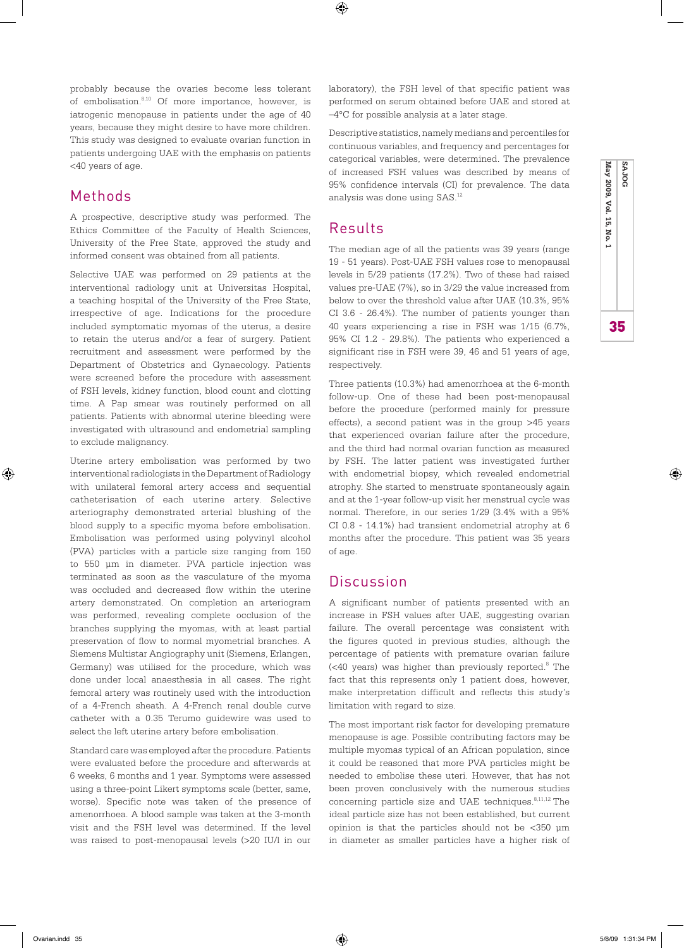$\textcircled{\scriptsize\textsf{t}}$ 

probably because the ovaries become less tolerant of embolisation.8,10 Of more importance, however, is iatrogenic menopause in patients under the age of 40 years, because they might desire to have more children. This study was designed to evaluate ovarian function in patients undergoing UAE with the emphasis on patients <40 years of age.

## Methods

⊕

A prospective, descriptive study was performed. The Ethics Committee of the Faculty of Health Sciences, University of the Free State, approved the study and informed consent was obtained from all patients.

Selective UAE was performed on 29 patients at the interventional radiology unit at Universitas Hospital, a teaching hospital of the University of the Free State, irrespective of age. Indications for the procedure included symptomatic myomas of the uterus, a desire to retain the uterus and/or a fear of surgery. Patient recruitment and assessment were performed by the Department of Obstetrics and Gynaecology. Patients were screened before the procedure with assessment of FSH levels, kidney function, blood count and clotting time. A Pap smear was routinely performed on all patients. Patients with abnormal uterine bleeding were investigated with ultrasound and endometrial sampling to exclude malignancy.

Uterine artery embolisation was performed by two interventional radiologists in the Department of Radiology with unilateral femoral artery access and sequential catheterisation of each uterine artery. Selective arteriography demonstrated arterial blushing of the blood supply to a specific myoma before embolisation. Embolisation was performed using polyvinyl alcohol (PVA) particles with a particle size ranging from 150 to 550 µm in diameter. PVA particle injection was terminated as soon as the vasculature of the myoma was occluded and decreased flow within the uterine artery demonstrated. On completion an arteriogram was performed, revealing complete occlusion of the branches supplying the myomas, with at least partial preservation of flow to normal myometrial branches. A Siemens Multistar Angiography unit (Siemens, Erlangen, Germany) was utilised for the procedure, which was done under local anaesthesia in all cases. The right femoral artery was routinely used with the introduction of a 4-French sheath. A 4-French renal double curve catheter with a 0.35 Terumo guidewire was used to select the left uterine artery before embolisation.

Standard care was employed after the procedure. Patients were evaluated before the procedure and afterwards at 6 weeks, 6 months and 1 year. Symptoms were assessed using a three-point Likert symptoms scale (better, same, worse). Specific note was taken of the presence of amenorrhoea. A blood sample was taken at the 3-month visit and the FSH level was determined. If the level was raised to post-menopausal levels (>20 IU/l in our laboratory), the FSH level of that specific patient was performed on serum obtained before UAE and stored at –4°C for possible analysis at a later stage.

Descriptive statistics, namely medians and percentiles for continuous variables, and frequency and percentages for categorical variables, were determined. The prevalence of increased FSH values was described by means of 95% confidence intervals (CI) for prevalence. The data analysis was done using SAS.12

## Results

The median age of all the patients was 39 years (range 19 - 51 years). Post-UAE FSH values rose to menopausal levels in 5/29 patients (17.2%). Two of these had raised values pre-UAE (7%), so in 3/29 the value increased from below to over the threshold value after UAE (10.3%, 95% CI 3.6 - 26.4%). The number of patients younger than 40 years experiencing a rise in FSH was 1/15 (6.7%, 95% CI 1.2 - 29.8%). The patients who experienced a significant rise in FSH were 39, 46 and 51 years of age, respectively.

Three patients (10.3%) had amenorrhoea at the 6-month follow-up. One of these had been post-menopausal before the procedure (performed mainly for pressure effects), a second patient was in the group >45 years that experienced ovarian failure after the procedure, and the third had normal ovarian function as measured by FSH. The latter patient was investigated further with endometrial biopsy, which revealed endometrial atrophy. She started to menstruate spontaneously again and at the 1-year follow-up visit her menstrual cycle was normal. Therefore, in our series 1/29 (3.4% with a 95% CI 0.8 - 14.1%) had transient endometrial atrophy at 6 months after the procedure. This patient was 35 years of age.

### Discussion

A significant number of patients presented with an increase in FSH values after UAE, suggesting ovarian failure. The overall percentage was consistent with the figures quoted in previous studies, although the percentage of patients with premature ovarian failure (<40 years) was higher than previously reported.<sup>8</sup> The fact that this represents only 1 patient does, however, make interpretation difficult and reflects this study's limitation with regard to size.

The most important risk factor for developing premature menopause is age. Possible contributing factors may be multiple myomas typical of an African population, since it could be reasoned that more PVA particles might be needed to embolise these uteri. However, that has not been proven conclusively with the numerous studies concerning particle size and UAE techniques.<sup>8,11,12</sup> The ideal particle size has not been established, but current opinion is that the particles should not be <350 µm in diameter as smaller particles have a higher risk of

35 **May 2009, Vol. 15, No. 1 SAJOG**

35

♠

May 2009, Vol. 15, No.

**BOLAS**